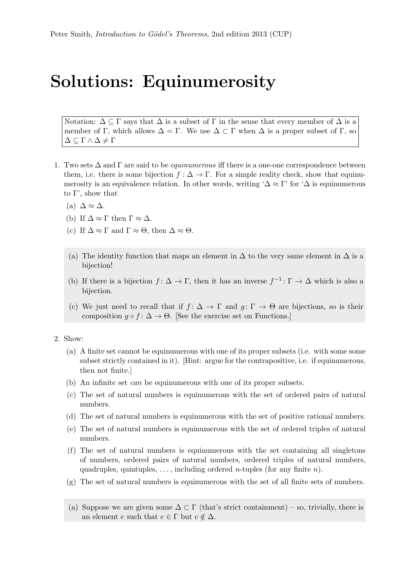## Solutions: Equinumerosity

Notation:  $\Delta \subseteq \Gamma$  says that  $\Delta$  is a subset of  $\Gamma$  in the sense that every member of  $\Delta$  is a member of Γ, which allows  $\Delta = \Gamma$ . We use  $\Delta \subset \Gamma$  when  $\Delta$  is a proper subset of Γ, so  $\Delta \subseteq \Gamma \wedge \Delta \neq \Gamma$ 

- 1. Two sets  $\Delta$  and  $\Gamma$  are said to be *equinumerous* iff there is a one-one correspondence between them, i.e. there is some bijection  $f : \Delta \to \Gamma$ . For a simple reality check, show that equinumerosity is an equivalence relation. In other words, writing ' $\Delta \approx \Gamma'$  for ' $\Delta$  is equinumerous to  $\Gamma'$ , show that
	- (a)  $\Delta \approx \Delta$ .
	- (b) If  $\Delta \approx \Gamma$  then  $\Gamma \approx \Delta$ .
	- (c) If  $\Delta \approx \Gamma$  and  $\Gamma \approx \Theta$ , then  $\Delta \approx \Theta$ .
	- (a) The identity function that maps an element in  $\Delta$  to the very same element in  $\Delta$  is a bijection!
	- (b) If there is a bijection  $f: \Delta \to \Gamma$ , then it has an inverse  $f^{-1}: \Gamma \to \Delta$  which is also a bijection.
	- (c) We just need to recall that if  $f: \Delta \to \Gamma$  and  $g: \Gamma \to \Theta$  are bijections, so is their composition  $g \circ f : \Delta \to \Theta$ . [See the exercise set on Functions.]
- 2. Show:
	- (a) A finite set cannot be equinumerous with one of its proper subsets (i.e. with some some subset strictly contained in it). [Hint: argue for the contrapositive, i.e. if equinumerous, then not finite.]
	- (b) An infinite set can be equinumerous with one of its proper subsets.
	- (c) The set of natural numbers is equinumerous with the set of ordered pairs of natural numbers.
	- (d) The set of natural numbers is equinumerous with the set of positive rational numbers.
	- (e) The set of natural numbers is equinumerous with the set of ordered triples of natural numbers.
	- (f) The set of natural numbers is equinumerous with the set containing all singletons of numbers, ordered pairs of natural numbers, ordered triples of natural numbers, quadruples, quintuples, ..., including ordered *n*-tuples (for any finite *n*).
	- (g) The set of natural numbers is equinumerous with the set of all finite sets of numbers.
	- (a) Suppose we are given some  $\Delta \subset \Gamma$  (that's strict containment) so, trivially, there is an element e such that  $e \in \Gamma$  but  $e \notin \Delta$ .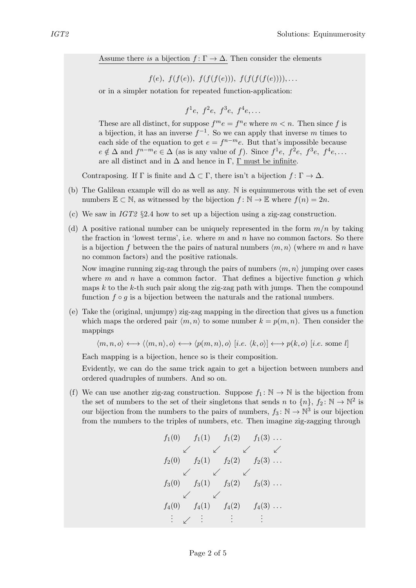Assume there is a bijection  $f: \Gamma \to \Delta$ . Then consider the elements

 $f(e), f(f(e)), f(f(f(e))), f(f(f(f(e))))$ ,...

or in a simpler notation for repeated function-application:

$$
f^1e
$$
,  $f^2e$ ,  $f^3e$ ,  $f^4e$ ,...

These are all distinct, for suppose  $f^m e = f^n e$  where  $m < n$ . Then since f is a bijection, it has an inverse  $f^{-1}$ . So we can apply that inverse m times to each side of the equation to get  $e = f^{n-m}e$ . But that's impossible because  $e \notin \Delta$  and  $f^{n-m}e \in \Delta$  (as is any value of f). Since  $f^1e$ ,  $f^2e$ ,  $f^3e$ ,  $f^4e$ , ... are all distinct and in  $\Delta$  and hence in Γ, Γ must be infinite.

Contraposing. If  $\Gamma$  is finite and  $\Delta \subset \Gamma$ , there isn't a bijection  $f: \Gamma \to \Delta$ .

- (b) The Galilean example will do as well as any. N is equinumerous with the set of even numbers  $\mathbb{E} \subset \mathbb{N}$ , as witnessed by the bijection  $f : \mathbb{N} \to \mathbb{E}$  where  $f(n) = 2n$ .
- (c) We saw in  $IGT2$  §2.4 how to set up a bijection using a zig-zag construction.
- (d) A positive rational number can be uniquely represented in the form  $m/n$  by taking the fraction in 'lowest terms', i.e. where  $m$  and  $n$  have no common factors. So there is a bijection f between the the pairs of natural numbers  $\langle m, n \rangle$  (where m and n have no common factors) and the positive rationals.

Now imagine running zig-zag through the pairs of numbers  $\langle m, n \rangle$  jumping over cases where  $m$  and  $n$  have a common factor. That defines a bijective function  $g$  which maps  $k$  to the  $k$ -th such pair along the zig-zag path with jumps. Then the compound function  $f \circ g$  is a bijection between the naturals and the rational numbers.

(e) Take the (original, unjumpy) zig-zag mapping in the direction that gives us a function which maps the ordered pair  $\langle m, n \rangle$  to some number  $k = p(m, n)$ . Then consider the mappings

$$
\langle m, n, o \rangle \longleftrightarrow \langle \langle m, n \rangle, o \rangle \longleftrightarrow \langle p(m, n), o \rangle [i.e. \langle k, o \rangle] \longleftrightarrow p(k, o) [i.e. \text{some } l]
$$

Each mapping is a bijection, hence so is their composition.

Evidently, we can do the same trick again to get a bijection between numbers and ordered quadruples of numbers. And so on.

(f) We can use another zig-zag construction. Suppose  $f_1: \mathbb{N} \to \mathbb{N}$  is the bijection from the set of numbers to the set of their singletons that sends n to  $\{n\},\,f_2\colon\mathbb{N}\to\mathbb{N}^2$  is our bijection from the numbers to the pairs of numbers,  $f_3: \mathbb{N} \to \mathbb{N}^3$  is our bijection from the numbers to the triples of numbers, etc. Then imagine zig-zagging through

$$
f_1(0) \t f_1(1) \t f_1(2) \t f_1(3) \t ...
$$
  
\n
$$
\swarrow \t \swarrow \t \swarrow \t \swarrow
$$
  
\n
$$
f_2(0) \t f_2(1) \t f_2(2) \t f_2(3) \t ...
$$
  
\n
$$
\swarrow \t \swarrow
$$
  
\n
$$
f_3(0) \t f_3(1) \t f_3(2) \t f_3(3) \t ...
$$
  
\n
$$
\swarrow \t \swarrow
$$
  
\n
$$
f_4(0) \t f_4(1) \t f_4(2) \t f_4(3) \t ...
$$
  
\n
$$
\vdots \t \swarrow \t \vdots \t \vdots \t \vdots
$$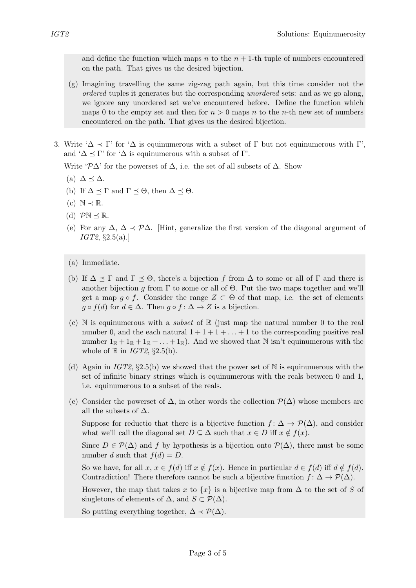and define the function which maps n to the  $n + 1$ -th tuple of numbers encountered on the path. That gives us the desired bijection.

- (g) Imagining travelling the same zig-zag path again, but this time consider not the ordered tuples it generates but the corresponding unordered sets: and as we go along, we ignore any unordered set we've encountered before. Define the function which maps 0 to the empty set and then for  $n > 0$  maps n to the n-th new set of numbers encountered on the path. That gives us the desired bijection.
- 3. Write ' $\Delta \prec \Gamma$ ' for ' $\Delta$  is equinumerous with a subset of  $\Gamma$  but not equinumerous with  $\Gamma'$ , and ' $\Delta \preceq \Gamma$ ' for ' $\Delta$  is equinumerous with a subset of  $\Gamma$ '.

Write ' $\mathcal{P}\Delta$ ' for the powerset of  $\Delta$ , i.e. the set of all subsets of  $\Delta$ . Show

- (a)  $\Delta \preceq \Delta$ .
- (b) If  $\Delta \preceq \Gamma$  and  $\Gamma \preceq \Theta$ , then  $\Delta \preceq \Theta$ .
- (c)  $\mathbb{N} \prec \mathbb{R}$ .
- (d)  $\mathcal{P}\mathbb{N} \prec \mathbb{R}$ .
- (e) For any  $\Delta$ ,  $\Delta \prec \mathcal{P}\Delta$ . [Hint, generalize the first version of the diagonal argument of  $IGT2, \S2.5(a).$
- (a) Immediate.
- (b) If  $\Delta \preceq \Gamma$  and  $\Gamma \preceq \Theta$ , there's a bijection f from  $\Delta$  to some or all of  $\Gamma$  and there is another bijection g from  $\Gamma$  to some or all of  $\Theta$ . Put the two maps together and we'll get a map  $q \circ f$ . Consider the range  $Z \subset \Theta$  of that map, i.e. the set of elements  $g \circ f(d)$  for  $d \in \Delta$ . Then  $g \circ f: \Delta \to Z$  is a bijection.
- (c) N is equinumerous with a *subset* of  $\mathbb R$  (just map the natural number 0 to the real number 0, and the each natural  $1 + 1 + 1 + \ldots + 1$  to the corresponding positive real number  $1_{\mathbb{R}} + 1_{\mathbb{R}} + \ldots + 1_{\mathbb{R}}$ . And we showed that N isn't equinumerous with the whole of  $\mathbb R$  in *IGT2*, §2.5(b).
- (d) Again in IGT2,  $\S2.5(b)$  we showed that the power set of N is equinumerous with the set of infinite binary strings which is equinumerous with the reals between 0 and 1, i.e. equinumerous to a subset of the reals.
- (e) Consider the powerset of  $\Delta$ , in other words the collection  $\mathcal{P}(\Delta)$  whose members are all the subsets of  $\Delta$ .

Suppose for reductio that there is a bijective function  $f: \Delta \to \mathcal{P}(\Delta)$ , and consider what we'll call the diagonal set  $D \subseteq \Delta$  such that  $x \in D$  iff  $x \notin f(x)$ .

Since  $D \in \mathcal{P}(\Delta)$  and f by hypothesis is a bijection onto  $\mathcal{P}(\Delta)$ , there must be some number d such that  $f(d) = D$ .

So we have, for all  $x, x \in f(d)$  iff  $x \notin f(x)$ . Hence in particular  $d \in f(d)$  iff  $d \notin f(d)$ . Contradiction! There therefore cannot be such a bijective function  $f: \Delta \to \mathcal{P}(\Delta)$ .

However, the map that takes x to  $\{x\}$  is a bijective map from  $\Delta$  to the set of S of singletons of elements of  $\Delta$ , and  $S \subset \mathcal{P}(\Delta)$ .

So putting everything together,  $\Delta \prec \mathcal{P}(\Delta)$ .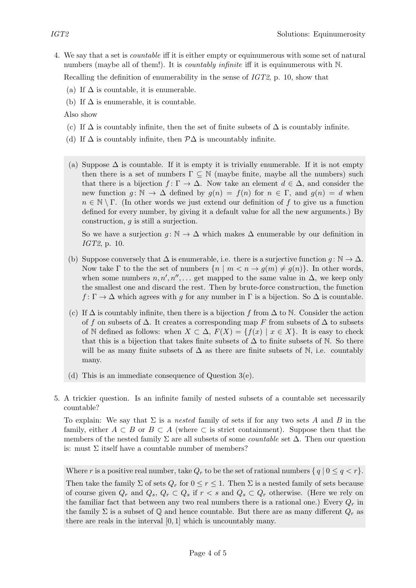4. We say that a set is countable iff it is either empty or equinumerous with some set of natural numbers (maybe all of them!). It is *countably infinite* iff it is equinumerous with N.

Recalling the definition of enumerability in the sense of IGT2, p. 10, show that

- (a) If  $\Delta$  is countable, it is enumerable.
- (b) If  $\Delta$  is enumerable, it is countable.

Also show

- (c) If  $\Delta$  is countably infinite, then the set of finite subsets of  $\Delta$  is countably infinite.
- (d) If  $\Delta$  is countably infinite, then  $\mathcal{P}\Delta$  is uncountably infinite.
- (a) Suppose  $\Delta$  is countable. If it is empty it is trivially enumerable. If it is not empty then there is a set of numbers  $\Gamma \subseteq \mathbb{N}$  (maybe finite, maybe all the numbers) such that there is a bijection  $f: \Gamma \to \Delta$ . Now take an element  $d \in \Delta$ , and consider the new function  $g: \mathbb{N} \to \Delta$  defined by  $g(n) = f(n)$  for  $n \in \Gamma$ , and  $g(n) = d$  when  $n \in \mathbb{N} \setminus \Gamma$ . (In other words we just extend our definition of f to give us a function defined for every number, by giving it a default value for all the new arguments.) By construction, g is still a surjection.

So we have a surjection  $g: \mathbb{N} \to \Delta$  which makes  $\Delta$  enumerable by our definition in IGT2, p. 10.

- (b) Suppose conversely that  $\Delta$  is enumerable, i.e. there is a surjective function  $g: \mathbb{N} \to \Delta$ . Now take  $\Gamma$  to the the set of numbers  $\{n \mid m \leq n \rightarrow g(m) \neq g(n)\}\$ . In other words, when some numbers  $n, n', n'', \ldots$  get mapped to the same value in  $\Delta$ , we keep only the smallest one and discard the rest. Then by brute-force construction, the function  $f: \Gamma \to \Delta$  which agrees with g for any number in  $\Gamma$  is a bijection. So  $\Delta$  is countable.
- (c) If  $\Delta$  is countably infinite, then there is a bijection f from  $\Delta$  to N. Consider the action of f on subsets of  $\Delta$ . It creates a corresponding map F from subsets of  $\Delta$  to subsets of N defined as follows: when  $X \subset \Delta$ ,  $F(X) = \{f(x) | x \in X\}$ . It is easy to check that this is a bijection that takes finite subsets of  $\Delta$  to finite subsets of N. So there will be as many finite subsets of  $\Delta$  as there are finite subsets of N, i.e. countably many.
- (d) This is an immediate consequence of Question 3(e).
- 5. A trickier question. Is an infinite family of nested subsets of a countable set necessarily countable?

To explain: We say that  $\Sigma$  is a *nested* family of sets if for any two sets A and B in the family, either  $A \subset B$  or  $B \subset A$  (where  $\subset$  is strict containment). Suppose then that the members of the nested family  $\Sigma$  are all subsets of some *countable* set  $\Delta$ . Then our question is: must  $\Sigma$  itself have a countable number of members?

Where r is a positive real number, take  $Q_r$  to be the set of rational numbers  $\{q \mid 0 \leq q \leq r\}.$ 

Then take the family  $\Sigma$  of sets  $Q_r$  for  $0 \leq r \leq 1$ . Then  $\Sigma$  is a nested family of sets because of course given  $Q_r$  and  $Q_s$ ,  $Q_r \subset Q_s$  if  $r < s$  and  $Q_s \subset Q_r$  otherwise. (Here we rely on the familiar fact that between any two real numbers there is a rational one.) Every  $Q_r$  in the family  $\Sigma$  is a subset of  $\mathbb Q$  and hence countable. But there are as many different  $Q_r$  as there are reals in the interval  $[0, 1]$  which is uncountably many.